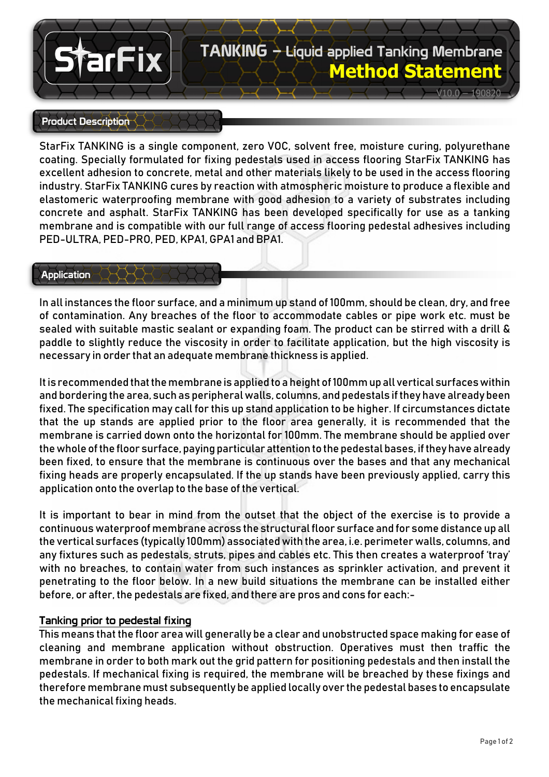# TANKING – Liquid applied Tanking Membrane **Method Statement**

 $V10.0 - 190820$ 

#### Product Description

farFix

StarFix TANKING is a single component, zero VOC, solvent free, moisture curing, polyurethane coating. Specially formulated for fixing pedestals used in access flooring StarFix TANKING has excellent adhesion to concrete, metal and other materials likely to be used in the access flooring industry. StarFix TANKING cures by reaction with atmospheric moisture to produce a flexible and elastomeric waterproofing membrane with good adhesion to a variety of substrates including concrete and asphalt. StarFix TANKING has been developed specifically for use as a tanking membrane and is compatible with our full range of access flooring pedestal adhesives including PED-ULTRA, PED-PRO, PED, KPA1, GPA1 and BPA1.

#### Application

In all instances the floor surface, and a minimum up stand of 100mm, should be clean, dry, and free of contamination. Any breaches of the floor to accommodate cables or pipe work etc. must be sealed with suitable mastic sealant or expanding foam. The product can be stirred with a drill & paddle to slightly reduce the viscosity in order to facilitate application, but the high viscosity is necessary in order that an adequate membrane thickness is applied.

It is recommended that the membrane is applied to a height of 100mm up all vertical surfaces within and bordering the area, such as peripheral walls, columns, and pedestals if they have already been fixed. The specification may call for this up stand application to be higher. If circumstances dictate that the up stands are applied prior to the floor area generally, it is recommended that the membrane is carried down onto the horizontal for 100mm. The membrane should be applied over the whole of the floor surface, paying particular attention to the pedestal bases, if they have already been fixed, to ensure that the membrane is continuous over the bases and that any mechanical fixing heads are properly encapsulated. If the up stands have been previously applied, carry this application onto the overlap to the base of the vertical.

It is important to bear in mind from the outset that the object of the exercise is to provide a continuous waterproof membrane across the structural floor surface and for some distance up all the vertical surfaces (typically 100mm) associated with the area, i.e. perimeter walls, columns, and any fixtures such as pedestals, struts, pipes and cables etc. This then creates a waterproof 'tray' with no breaches, to contain water from such instances as sprinkler activation, and prevent it penetrating to the floor below. In a new build situations the membrane can be installed either before, or after, the pedestals are fixed, and there are pros and cons for each:-

#### Tanking prior to pedestal fixing

This means that the floor area will generally be a clear and unobstructed space making for ease of cleaning and membrane application without obstruction. Operatives must then traffic the membrane in order to both mark out the grid pattern for positioning pedestals and then install the pedestals. If mechanical fixing is required, the membrane will be breached by these fixings and therefore membrane must subsequently be applied locally over the pedestal bases to encapsulate the mechanical fixing heads.